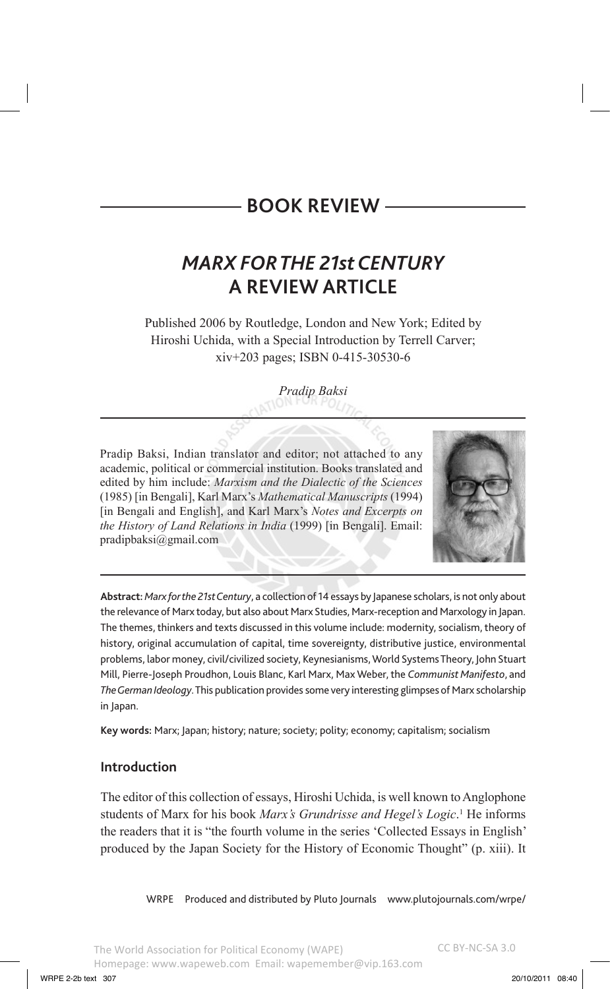# *MARX FOR THE 21st CENTURY* **A REVIEW ARTICLE**

Published 2006 by Routledge, London and New York; Edited by Hiroshi Uchida, with a Special Introduction by Terrell Carver; xiv+203 pages; ISBN 0-415-30530-6

*Pradip Baksi*

Pradip Baksi, Indian translator and editor; not attached to any academic, political or commercial institution. Books translated and edited by him include: *Marxism and the Dialectic of the Sciences* (1985) [in Bengali], Karl Marx's *Mathematical Manuscripts* (1994) [in Bengali and English], and Karl Marx's *Notes and Excerpts on the History of Land Relations in India* (1999) [in Bengali]. Email: pradipbaksi@gmail.com



**Abstract:** *Marx for the 21st Century*, a collection of 14 essays by Japanese scholars, is not only about the relevance of Marx today, but also about Marx Studies, Marx-reception and Marxology in Japan. The themes, thinkers and texts discussed in this volume include: modernity, socialism, theory of history, original accumulation of capital, time sovereignty, distributive justice, environmental problems, labor money, civil/civilized society, Keynesianisms, World Systems Theory, John Stuart Mill, Pierre-Joseph Proudhon, Louis Blanc, Karl Marx, Max Weber, the *Communist Manifesto*, and *The German Ideology*. This publication provides some very interesting glimpses of Marx scholarship in Japan.

**Key words:** Marx; Japan; history; nature; society; polity; economy; capitalism; socialism

# **Introduction**

The editor of this collection of essays, Hiroshi Uchida, is well known to Anglophone students of Marx for his book Marx's Grundrisse and Hegel's Logic.<sup>1</sup> He informs the readers that it is "the fourth volume in the series 'Collected Essays in English' produced by the Japan Society for the History of Economic Thought" (p. xiii). It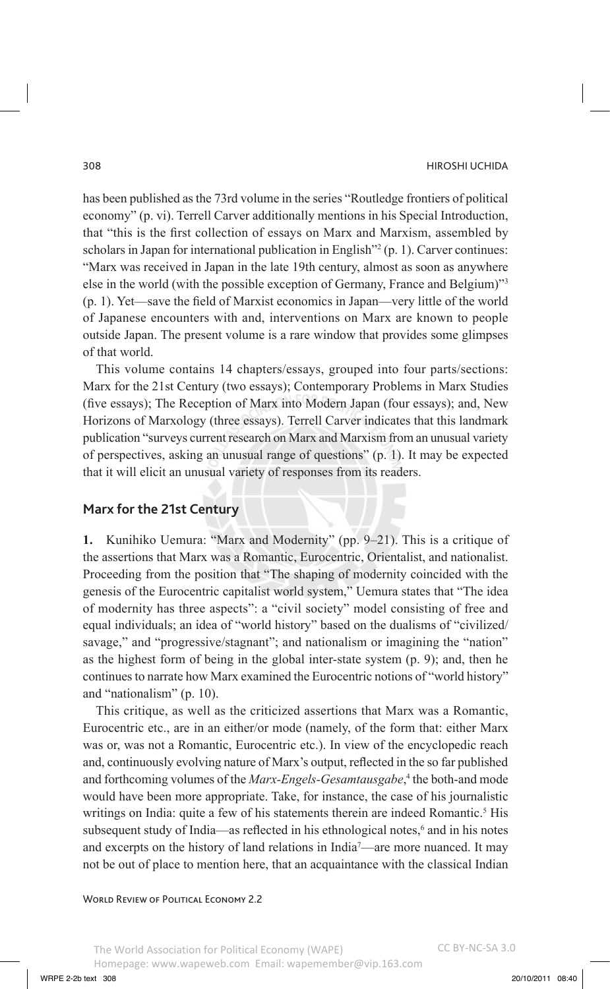has been published as the 73rd volume in the series "Routledge frontiers of political economy" (p. vi). Terrell Carver additionally mentions in his Special Introduction, that "this is the first collection of essays on Marx and Marxism, assembled by scholars in Japan for international publication in English"2 (p. 1). Carver continues: "Marx was received in Japan in the late 19th century, almost as soon as anywhere else in the world (with the possible exception of Germany, France and Belgium)"3 (p. 1). Yet—save the field of Marxist economics in Japan—very little of the world of Japanese encounters with and, interventions on Marx are known to people outside Japan. The present volume is a rare window that provides some glimpses of that world.

This volume contains 14 chapters/essays, grouped into four parts/sections: Marx for the 21st Century (two essays); Contemporary Problems in Marx Studies (five essays); The Reception of Marx into Modern Japan (four essays); and, New Horizons of Marxology (three essays). Terrell Carver indicates that this landmark publication "surveys current research on Marx and Marxism from an unusual variety of perspectives, asking an unusual range of questions" (p. 1). It may be expected that it will elicit an unusual variety of responses from its readers.

## **Marx for the 21st Century**

**1.** Kunihiko Uemura: "Marx and Modernity" (pp. 9–21). This is a critique of the assertions that Marx was a Romantic, Eurocentric, Orientalist, and nationalist. Proceeding from the position that "The shaping of modernity coincided with the genesis of the Eurocentric capitalist world system," Uemura states that "The idea of modernity has three aspects": a "civil society" model consisting of free and equal individuals; an idea of "world history" based on the dualisms of "civilized/ savage," and "progressive/stagnant"; and nationalism or imagining the "nation" as the highest form of being in the global inter-state system (p. 9); and, then he continues to narrate how Marx examined the Eurocentric notions of "world history" and "nationalism" (p. 10).

This critique, as well as the criticized assertions that Marx was a Romantic, Eurocentric etc., are in an either/or mode (namely, of the form that: either Marx was or, was not a Romantic, Eurocentric etc.). In view of the encyclopedic reach and, continuously evolving nature of Marx's output, reflected in the so far published and forthcoming volumes of the *Marx-Engels-Gesamtausgabe*,<sup>4</sup> the both-and mode would have been more appropriate. Take, for instance, the case of his journalistic writings on India: quite a few of his statements therein are indeed Romantic.<sup>5</sup> His subsequent study of India—as reflected in his ethnological notes,<sup>6</sup> and in his notes and excerpts on the history of land relations in India7 —are more nuanced. It may not be out of place to mention here, that an acquaintance with the classical Indian

WORLD REVIEW OF POLITICAL ECONOMY 2.2

The World Association for Political Economy (WAPE) Homepage: www.wapeweb.com Email: wapemember@vip.163.com CC BY-NC-SA 3.0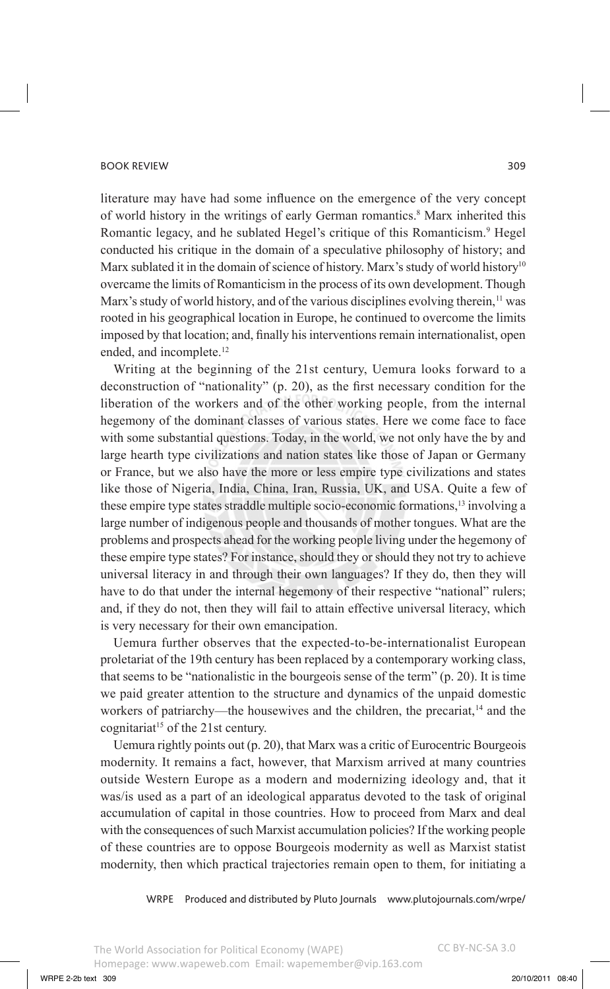literature may have had some influence on the emergence of the very concept of world history in the writings of early German romantics.<sup>8</sup> Marx inherited this Romantic legacy, and he sublated Hegel's critique of this Romanticism.<sup>9</sup> Hegel conducted his critique in the domain of a speculative philosophy of history; and Marx sublated it in the domain of science of history. Marx's study of world history<sup>10</sup> overcame the limits of Romanticism in the process of its own development. Though Marx's study of world history, and of the various disciplines evolving therein,<sup>11</sup> was rooted in his geographical location in Europe, he continued to overcome the limits imposed by that location; and, finally his interventions remain internationalist, open ended, and incomplete.<sup>12</sup>

Writing at the beginning of the 21st century, Uemura looks forward to a deconstruction of "nationality" (p. 20), as the first necessary condition for the liberation of the workers and of the other working people, from the internal hegemony of the dominant classes of various states. Here we come face to face with some substantial questions. Today, in the world, we not only have the by and large hearth type civilizations and nation states like those of Japan or Germany or France, but we also have the more or less empire type civilizations and states like those of Nigeria, India, China, Iran, Russia, UK, and USA. Quite a few of these empire type states straddle multiple socio-economic formations,<sup>13</sup> involving a large number of indigenous people and thousands of mother tongues. What are the problems and prospects ahead for the working people living under the hegemony of these empire type states? For instance, should they or should they not try to achieve universal literacy in and through their own languages? If they do, then they will have to do that under the internal hegemony of their respective "national" rulers; and, if they do not, then they will fail to attain effective universal literacy, which is very necessary for their own emancipation.

Uemura further observes that the expected-to-be-internationalist European proletariat of the 19th century has been replaced by a contemporary working class, that seems to be "nationalistic in the bourgeois sense of the term" (p. 20). It is time we paid greater attention to the structure and dynamics of the unpaid domestic workers of patriarchy—the housewives and the children, the precariat,<sup>14</sup> and the cognitariat<sup>15</sup> of the 21st century.

Uemura rightly points out (p. 20), that Marx was a critic of Eurocentric Bourgeois modernity. It remains a fact, however, that Marxism arrived at many countries outside Western Europe as a modern and modernizing ideology and, that it was/is used as a part of an ideological apparatus devoted to the task of original accumulation of capital in those countries. How to proceed from Marx and deal with the consequences of such Marxist accumulation policies? If the working people of these countries are to oppose Bourgeois modernity as well as Marxist statist modernity, then which practical trajectories remain open to them, for initiating a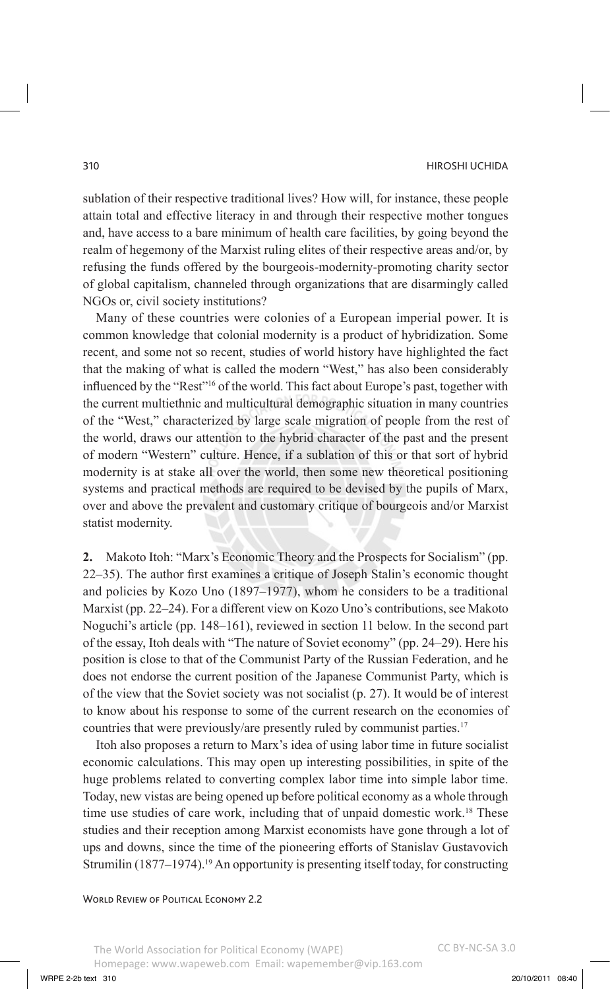sublation of their respective traditional lives? How will, for instance, these people attain total and effective literacy in and through their respective mother tongues and, have access to a bare minimum of health care facilities, by going beyond the realm of hegemony of the Marxist ruling elites of their respective areas and/or, by refusing the funds offered by the bourgeois-modernity-promoting charity sector of global capitalism, channeled through organizations that are disarmingly called NGOs or, civil society institutions?

Many of these countries were colonies of a European imperial power. It is common knowledge that colonial modernity is a product of hybridization. Some recent, and some not so recent, studies of world history have highlighted the fact that the making of what is called the modern "West," has also been considerably influenced by the "Rest"16 of the world. This fact about Europe's past, together with the current multiethnic and multicultural demographic situation in many countries of the "West," characterized by large scale migration of people from the rest of the world, draws our attention to the hybrid character of the past and the present of modern "Western" culture. Hence, if a sublation of this or that sort of hybrid modernity is at stake all over the world, then some new theoretical positioning systems and practical methods are required to be devised by the pupils of Marx, over and above the prevalent and customary critique of bourgeois and/or Marxist statist modernity.

**2.** Makoto Itoh: "Marx's Economic Theory and the Prospects for Socialism" (pp. 22–35). The author first examines a critique of Joseph Stalin's economic thought and policies by Kozo Uno (1897–1977), whom he considers to be a traditional Marxist (pp. 22–24). For a different view on Kozo Uno's contributions, see Makoto Noguchi's article (pp. 148–161), reviewed in section 11 below. In the second part of the essay, Itoh deals with "The nature of Soviet economy" (pp. 24–29). Here his position is close to that of the Communist Party of the Russian Federation, and he does not endorse the current position of the Japanese Communist Party, which is of the view that the Soviet society was not socialist (p. 27). It would be of interest to know about his response to some of the current research on the economies of countries that were previously/are presently ruled by communist parties.<sup>17</sup>

Itoh also proposes a return to Marx's idea of using labor time in future socialist economic calculations. This may open up interesting possibilities, in spite of the huge problems related to converting complex labor time into simple labor time. Today, new vistas are being opened up before political economy as a whole through time use studies of care work, including that of unpaid domestic work.<sup>18</sup> These studies and their reception among Marxist economists have gone through a lot of ups and downs, since the time of the pioneering efforts of Stanislav Gustavovich Strumilin (1877–1974).<sup>19</sup> An opportunity is presenting itself today, for constructing

WORLD REVIEW OF POLITICAL ECONOMY 2.2

The World Association for Political Economy (WAPE) Homepage: www.wapeweb.com Email: wapemember@vip.163.com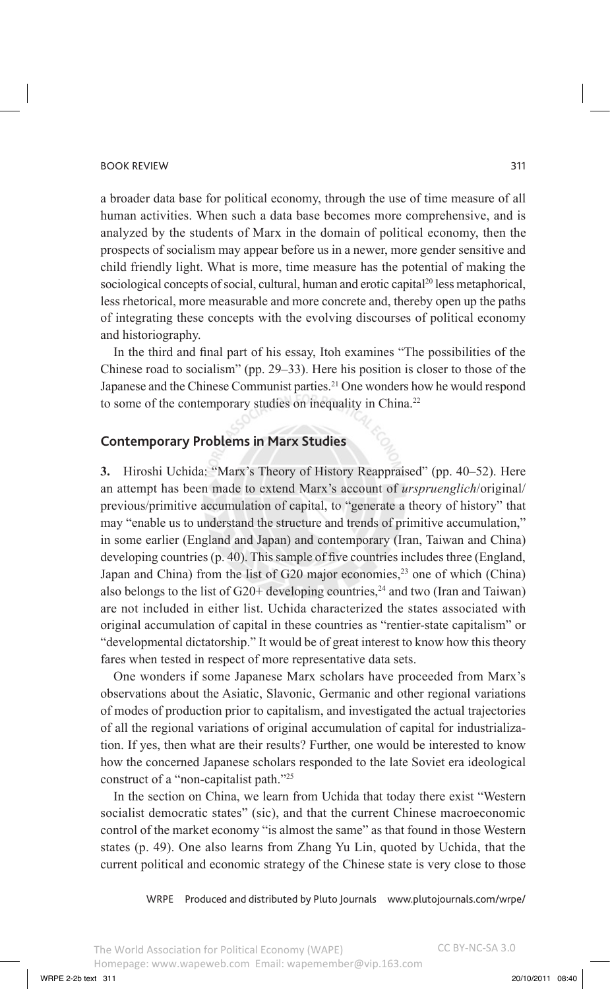#### book review 311 and the contract of the contract of the contract of the contract of the contract of the contract of the contract of the contract of the contract of the contract of the contract of the contract of the contra

a broader data base for political economy, through the use of time measure of all human activities. When such a data base becomes more comprehensive, and is analyzed by the students of Marx in the domain of political economy, then the prospects of socialism may appear before us in a newer, more gender sensitive and child friendly light. What is more, time measure has the potential of making the sociological concepts of social, cultural, human and erotic capital<sup>20</sup> less metaphorical, less rhetorical, more measurable and more concrete and, thereby open up the paths of integrating these concepts with the evolving discourses of political economy and historiography.

In the third and final part of his essay, Itoh examines "The possibilities of the Chinese road to socialism" (pp. 29–33). Here his position is closer to those of the Japanese and the Chinese Communist parties.<sup>21</sup> One wonders how he would respond to some of the contemporary studies on inequality in China.<sup>22</sup>

# **Contemporary Problems in Marx Studies**

**3.** Hiroshi Uchida: "Marx's Theory of History Reappraised" (pp. 40–52). Here an attempt has been made to extend Marx's account of *urspruenglich*/original/ previous/primitive accumulation of capital, to "generate a theory of history" that may "enable us to understand the structure and trends of primitive accumulation," in some earlier (England and Japan) and contemporary (Iran, Taiwan and China) developing countries (p. 40). This sample of five countries includes three (England, Japan and China) from the list of G20 major economies,<sup>23</sup> one of which (China) also belongs to the list of  $G20+$  developing countries,<sup>24</sup> and two (Iran and Taiwan) are not included in either list. Uchida characterized the states associated with original accumulation of capital in these countries as "rentier-state capitalism" or "developmental dictatorship." It would be of great interest to know how this theory fares when tested in respect of more representative data sets.

One wonders if some Japanese Marx scholars have proceeded from Marx's observations about the Asiatic, Slavonic, Germanic and other regional variations of modes of production prior to capitalism, and investigated the actual trajectories of all the regional variations of original accumulation of capital for industrialization. If yes, then what are their results? Further, one would be interested to know how the concerned Japanese scholars responded to the late Soviet era ideological construct of a "non-capitalist path."25

In the section on China, we learn from Uchida that today there exist "Western socialist democratic states" (sic), and that the current Chinese macroeconomic control of the market economy "is almost the same" as that found in those Western states (p. 49). One also learns from Zhang Yu Lin, quoted by Uchida, that the current political and economic strategy of the Chinese state is very close to those

WRPE Produced and distributed by Pluto Journals www.plutojournals.com/wrpe/

WRPE 2-2b text 311 20/10/2011 08:40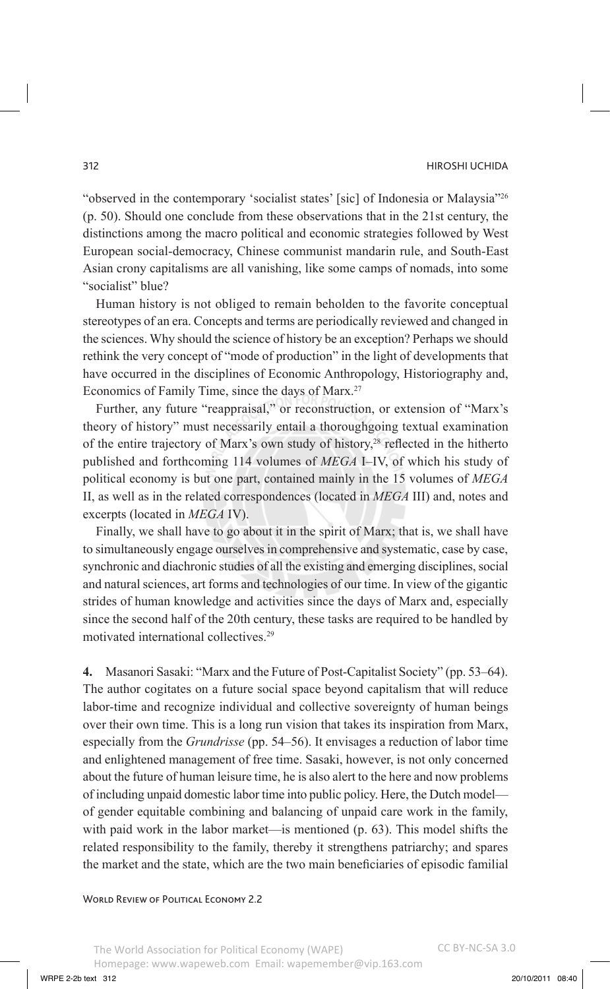#### 312 Hiroshi Uchida

"observed in the contemporary 'socialist states' [sic] of Indonesia or Malaysia"26 (p. 50). Should one conclude from these observations that in the 21st century, the distinctions among the macro political and economic strategies followed by West European social-democracy, Chinese communist mandarin rule, and South-East Asian crony capitalisms are all vanishing, like some camps of nomads, into some "socialist" blue?

Human history is not obliged to remain beholden to the favorite conceptual stereotypes of an era. Concepts and terms are periodically reviewed and changed in the sciences. Why should the science of history be an exception? Perhaps we should rethink the very concept of "mode of production" in the light of developments that have occurred in the disciplines of Economic Anthropology, Historiography and, Economics of Family Time, since the days of Marx.<sup>27</sup>

Further, any future "reappraisal," or reconstruction, or extension of "Marx's theory of history" must necessarily entail a thoroughgoing textual examination of the entire trajectory of Marx's own study of history,<sup>28</sup> reflected in the hitherto published and forthcoming 114 volumes of *MEGA* I–IV, of which his study of political economy is but one part, contained mainly in the 15 volumes of *MEGA* II, as well as in the related correspondences (located in *MEGA* III) and, notes and excerpts (located in *MEGA* IV).

Finally, we shall have to go about it in the spirit of Marx; that is, we shall have to simultaneously engage ourselves in comprehensive and systematic, case by case, synchronic and diachronic studies of all the existing and emerging disciplines, social and natural sciences, art forms and technologies of our time. In view of the gigantic strides of human knowledge and activities since the days of Marx and, especially since the second half of the 20th century, these tasks are required to be handled by motivated international collectives.29

**4.** Masanori Sasaki: "Marx and the Future of Post-Capitalist Society" (pp. 53–64). The author cogitates on a future social space beyond capitalism that will reduce labor-time and recognize individual and collective sovereignty of human beings over their own time. This is a long run vision that takes its inspiration from Marx, especially from the *Grundrisse* (pp. 54–56). It envisages a reduction of labor time and enlightened management of free time. Sasaki, however, is not only concerned about the future of human leisure time, he is also alert to the here and now problems of including unpaid domestic labor time into public policy. Here, the Dutch model of gender equitable combining and balancing of unpaid care work in the family, with paid work in the labor market—is mentioned (p. 63). This model shifts the related responsibility to the family, thereby it strengthens patriarchy; and spares the market and the state, which are the two main beneficiaries of episodic familial

WORLD REVIEW OF POLITICAL ECONOMY 2.2

CC BY-NC-SA 3.0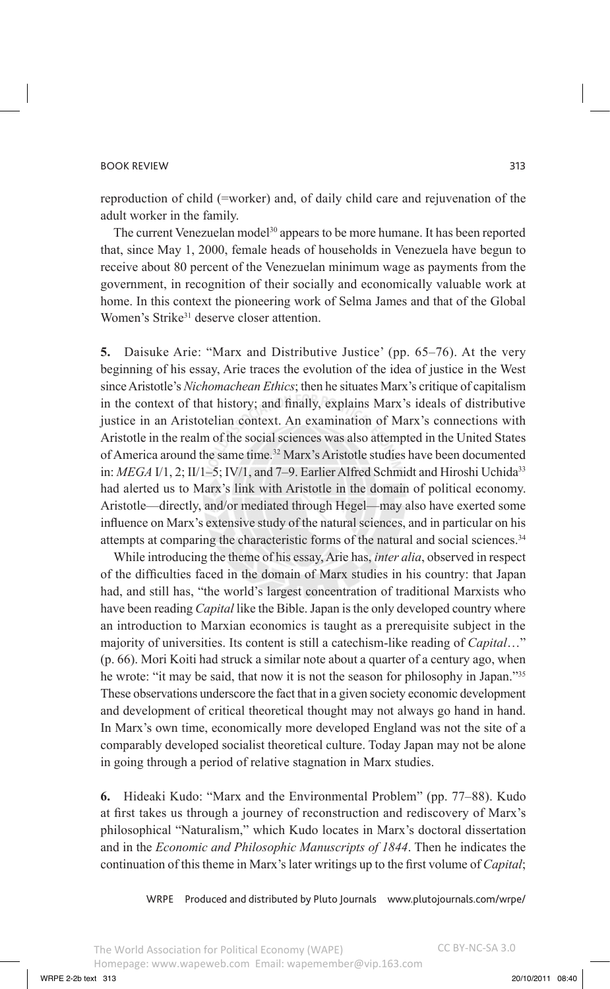reproduction of child (=worker) and, of daily child care and rejuvenation of the adult worker in the family.

The current Venezuelan model<sup>30</sup> appears to be more humane. It has been reported that, since May 1, 2000, female heads of households in Venezuela have begun to receive about 80 percent of the Venezuelan minimum wage as payments from the government, in recognition of their socially and economically valuable work at home. In this context the pioneering work of Selma James and that of the Global Women's Strike<sup>31</sup> deserve closer attention.

**5.** Daisuke Arie: "Marx and Distributive Justice' (pp. 65–76). At the very beginning of his essay, Arie traces the evolution of the idea of justice in the West since Aristotle's *Nichomachean Ethics*; then he situates Marx's critique of capitalism in the context of that history; and finally, explains Marx's ideals of distributive justice in an Aristotelian context. An examination of Marx's connections with Aristotle in the realm of the social sciences was also attempted in the United States of America around the same time.<sup>32</sup> Marx's Aristotle studies have been documented in: *MEGA* I/1, 2; II/1–5; IV/1, and 7–9. Earlier Alfred Schmidt and Hiroshi Uchida<sup>33</sup> had alerted us to Marx's link with Aristotle in the domain of political economy. Aristotle—directly, and/or mediated through Hegel—may also have exerted some influence on Marx's extensive study of the natural sciences, and in particular on his attempts at comparing the characteristic forms of the natural and social sciences.34

While introducing the theme of his essay, Arie has, *inter alia*, observed in respect of the difficulties faced in the domain of Marx studies in his country: that Japan had, and still has, "the world's largest concentration of traditional Marxists who have been reading *Capital* like the Bible. Japan is the only developed country where an introduction to Marxian economics is taught as a prerequisite subject in the majority of universities. Its content is still a catechism-like reading of *Capital*…" (p. 66). Mori Koiti had struck a similar note about a quarter of a century ago, when he wrote: "it may be said, that now it is not the season for philosophy in Japan."35 These observations underscore the fact that in a given society economic development and development of critical theoretical thought may not always go hand in hand. In Marx's own time, economically more developed England was not the site of a comparably developed socialist theoretical culture. Today Japan may not be alone in going through a period of relative stagnation in Marx studies.

**6.** Hideaki Kudo: "Marx and the Environmental Problem" (pp. 77–88). Kudo at first takes us through a journey of reconstruction and rediscovery of Marx's philosophical "Naturalism," which Kudo locates in Marx's doctoral dissertation and in the *Economic and Philosophic Manuscripts of 1844*. Then he indicates the continuation of this theme in Marx's later writings up to the first volume of *Capital*;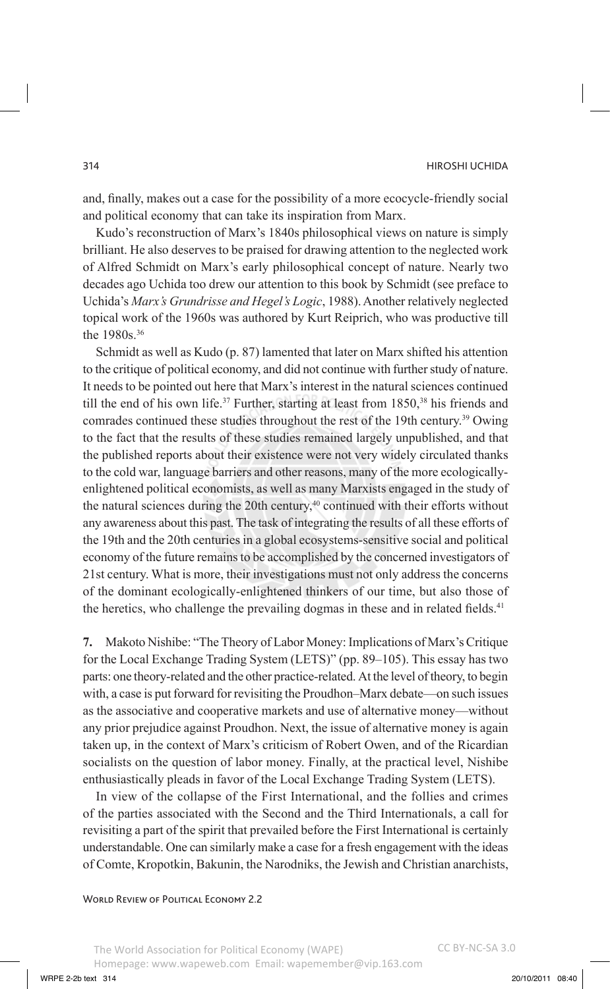and, finally, makes out a case for the possibility of a more ecocycle-friendly social and political economy that can take its inspiration from Marx.

Kudo's reconstruction of Marx's 1840s philosophical views on nature is simply brilliant. He also deserves to be praised for drawing attention to the neglected work of Alfred Schmidt on Marx's early philosophical concept of nature. Nearly two decades ago Uchida too drew our attention to this book by Schmidt (see preface to Uchida's *Marx's Grundrisse and Hegel's Logic*, 1988). Another relatively neglected topical work of the 1960s was authored by Kurt Reiprich, who was productive till the 1980s.<sup>36</sup>

Schmidt as well as Kudo (p. 87) lamented that later on Marx shifted his attention to the critique of political economy, and did not continue with further study of nature. It needs to be pointed out here that Marx's interest in the natural sciences continued till the end of his own life.<sup>37</sup> Further, starting at least from  $1850$ ,<sup>38</sup> his friends and comrades continued these studies throughout the rest of the 19th century.<sup>39</sup> Owing to the fact that the results of these studies remained largely unpublished, and that the published reports about their existence were not very widely circulated thanks to the cold war, language barriers and other reasons, many of the more ecologicallyenlightened political economists, as well as many Marxists engaged in the study of the natural sciences during the 20th century, $40$  continued with their efforts without any awareness about this past. The task of integrating the results of all these efforts of the 19th and the 20th centuries in a global ecosystems-sensitive social and political economy of the future remains to be accomplished by the concerned investigators of 21st century. What is more, their investigations must not only address the concerns of the dominant ecologically-enlightened thinkers of our time, but also those of the heretics, who challenge the prevailing dogmas in these and in related fields.<sup>41</sup>

**7.** Makoto Nishibe: "The Theory of Labor Money: Implications of Marx's Critique for the Local Exchange Trading System (LETS)" (pp. 89–105). This essay has two parts: one theory-related and the other practice-related. At the level of theory, to begin with, a case is put forward for revisiting the Proudhon–Marx debate—on such issues as the associative and cooperative markets and use of alternative money—without any prior prejudice against Proudhon. Next, the issue of alternative money is again taken up, in the context of Marx's criticism of Robert Owen, and of the Ricardian socialists on the question of labor money. Finally, at the practical level, Nishibe enthusiastically pleads in favor of the Local Exchange Trading System (LETS).

In view of the collapse of the First International, and the follies and crimes of the parties associated with the Second and the Third Internationals, a call for revisiting a part of the spirit that prevailed before the First International is certainly understandable. One can similarly make a case for a fresh engagement with the ideas of Comte, Kropotkin, Bakunin, the Narodniks, the Jewish and Christian anarchists,

### WORLD REVIEW OF POLITICAL ECONOMY 2.2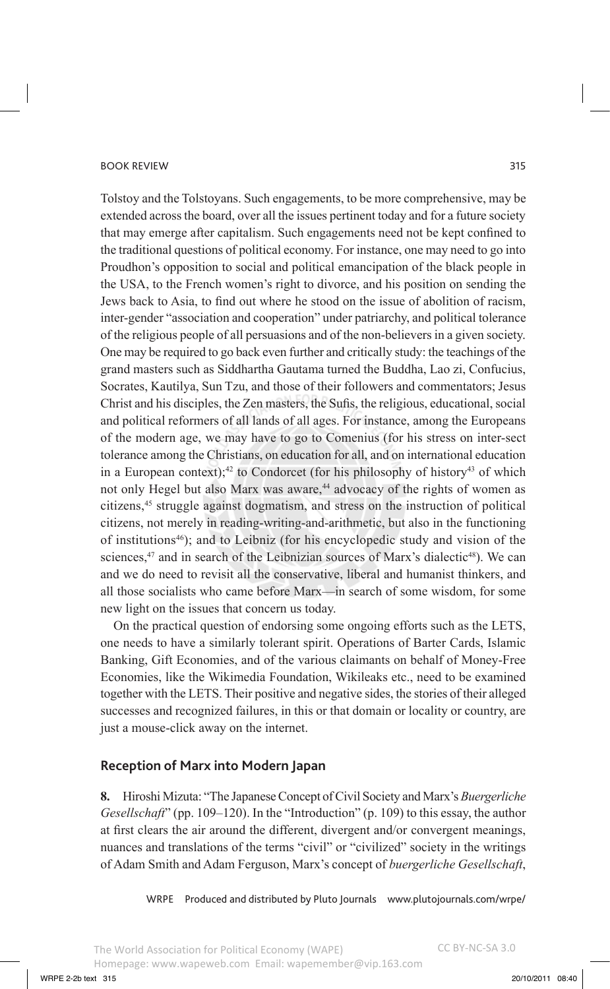Tolstoy and the Tolstoyans. Such engagements, to be more comprehensive, may be extended across the board, over all the issues pertinent today and for a future society that may emerge after capitalism. Such engagements need not be kept confined to the traditional questions of political economy. For instance, one may need to go into Proudhon's opposition to social and political emancipation of the black people in the USA, to the French women's right to divorce, and his position on sending the Jews back to Asia, to find out where he stood on the issue of abolition of racism, inter-gender "association and cooperation" under patriarchy, and political tolerance of the religious people of all persuasions and of the non-believers in a given society. One may be required to go back even further and critically study: the teachings of the grand masters such as Siddhartha Gautama turned the Buddha, Lao zi, Confucius, Socrates, Kautilya, Sun Tzu, and those of their followers and commentators; Jesus Christ and his disciples, the Zen masters, the Sufis, the religious, educational, social and political reformers of all lands of all ages. For instance, among the Europeans of the modern age, we may have to go to Comenius (for his stress on inter-sect tolerance among the Christians, on education for all, and on international education in a European context);<sup>42</sup> to Condorcet (for his philosophy of history<sup>43</sup> of which not only Hegel but also Marx was aware,<sup>44</sup> advocacy of the rights of women as citizens,45 struggle against dogmatism, and stress on the instruction of political citizens, not merely in reading-writing-and-arithmetic, but also in the functioning of institutions46); and to Leibniz (for his encyclopedic study and vision of the sciences,<sup>47</sup> and in search of the Leibnizian sources of Marx's dialectic<sup>48</sup>). We can and we do need to revisit all the conservative, liberal and humanist thinkers, and all those socialists who came before Marx—in search of some wisdom, for some new light on the issues that concern us today.

On the practical question of endorsing some ongoing efforts such as the LETS, one needs to have a similarly tolerant spirit. Operations of Barter Cards, Islamic Banking, Gift Economies, and of the various claimants on behalf of Money-Free Economies, like the Wikimedia Foundation, Wikileaks etc., need to be examined together with the LETS. Their positive and negative sides, the stories of their alleged successes and recognized failures, in this or that domain or locality or country, are just a mouse-click away on the internet.

# **Reception of Marx into Modern Japan**

**8.** Hiroshi Mizuta: "The Japanese Concept of Civil Society and Marx's *Buergerliche Gesellschaft*" (pp. 109–120). In the "Introduction" (p. 109) to this essay, the author at first clears the air around the different, divergent and/or convergent meanings, nuances and translations of the terms "civil" or "civilized" society in the writings of Adam Smith and Adam Ferguson, Marx's concept of *buergerliche Gesellschaft*,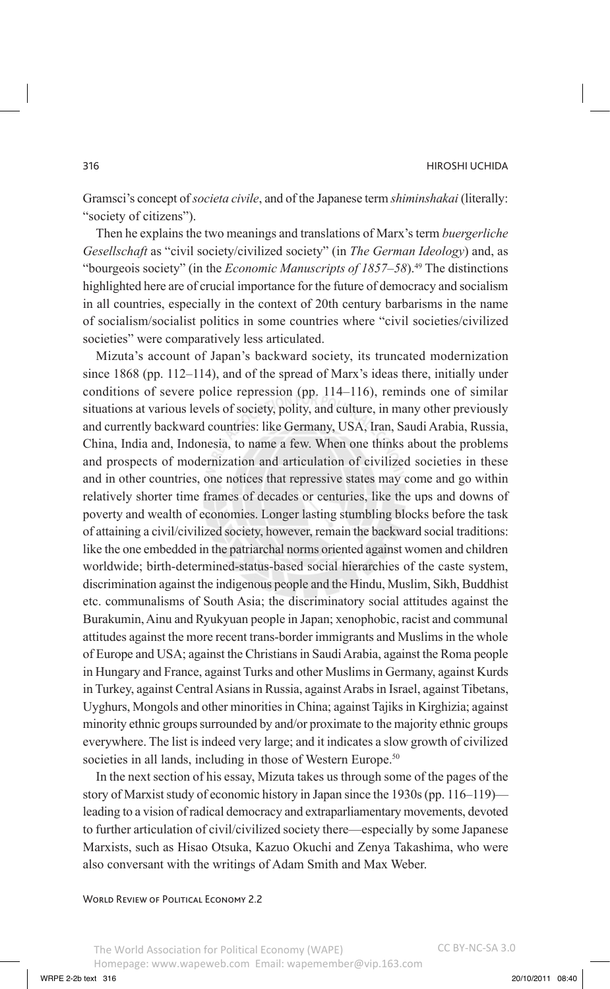Gramsci's concept of *societa civile*, and of the Japanese term *shiminshakai* (literally: "society of citizens").

Then he explains the two meanings and translations of Marx's term *buergerliche Gesellschaft* as "civil society/civilized society" (in *The German Ideology*) and, as "bourgeois society" (in the *Economic Manuscripts of 1857–58*).49 The distinctions highlighted here are of crucial importance for the future of democracy and socialism in all countries, especially in the context of 20th century barbarisms in the name of socialism/socialist politics in some countries where "civil societies/civilized societies" were comparatively less articulated.

Mizuta's account of Japan's backward society, its truncated modernization since 1868 (pp. 112–114), and of the spread of Marx's ideas there, initially under conditions of severe police repression (pp. 114–116), reminds one of similar situations at various levels of society, polity, and culture, in many other previously and currently backward countries: like Germany, USA, Iran, Saudi Arabia, Russia, China, India and, Indonesia, to name a few. When one thinks about the problems and prospects of modernization and articulation of civilized societies in these and in other countries, one notices that repressive states may come and go within relatively shorter time frames of decades or centuries, like the ups and downs of poverty and wealth of economies. Longer lasting stumbling blocks before the task of attaining a civil/civilized society, however, remain the backward social traditions: like the one embedded in the patriarchal norms oriented against women and children worldwide; birth-determined-status-based social hierarchies of the caste system, discrimination against the indigenous people and the Hindu, Muslim, Sikh, Buddhist etc. communalisms of South Asia; the discriminatory social attitudes against the Burakumin, Ainu and Ryukyuan people in Japan; xenophobic, racist and communal attitudes against the more recent trans-border immigrants and Muslims in the whole of Europe and USA; against the Christians in Saudi Arabia, against the Roma people in Hungary and France, against Turks and other Muslims in Germany, against Kurds in Turkey, against Central Asians in Russia, against Arabs in Israel, against Tibetans, Uyghurs, Mongols and other minorities in China; against Tajiks in Kirghizia; against minority ethnic groups surrounded by and/or proximate to the majority ethnic groups everywhere. The list is indeed very large; and it indicates a slow growth of civilized societies in all lands, including in those of Western Europe.<sup>50</sup>

In the next section of his essay, Mizuta takes us through some of the pages of the story of Marxist study of economic history in Japan since the 1930s (pp. 116–119) leading to a vision of radical democracy and extraparliamentary movements, devoted to further articulation of civil/civilized society there—especially by some Japanese Marxists, such as Hisao Otsuka, Kazuo Okuchi and Zenya Takashima, who were also conversant with the writings of Adam Smith and Max Weber.

#### WORLD REVIEW OF POLITICAL ECONOMY 2.2

The World Association for Political Economy (WAPE) Homepage: www.wapeweb.com Email: wapemember@vip.163.com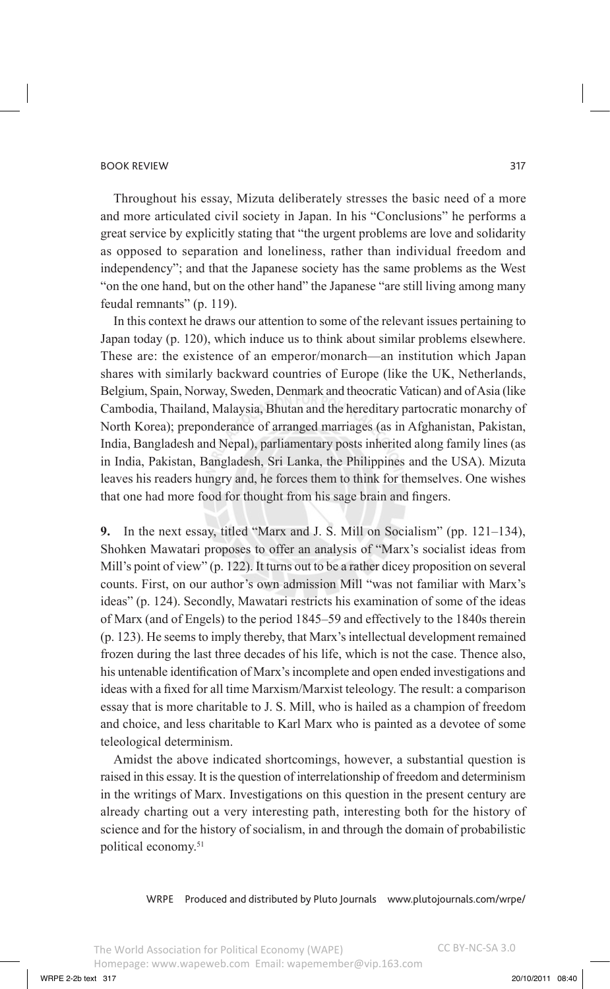Throughout his essay, Mizuta deliberately stresses the basic need of a more and more articulated civil society in Japan. In his "Conclusions" he performs a great service by explicitly stating that "the urgent problems are love and solidarity as opposed to separation and loneliness, rather than individual freedom and independency"; and that the Japanese society has the same problems as the West "on the one hand, but on the other hand" the Japanese "are still living among many feudal remnants" (p. 119).

In this context he draws our attention to some of the relevant issues pertaining to Japan today (p. 120), which induce us to think about similar problems elsewhere. These are: the existence of an emperor/monarch—an institution which Japan shares with similarly backward countries of Europe (like the UK, Netherlands, Belgium, Spain, Norway, Sweden, Denmark and theocratic Vatican) and of Asia (like Cambodia, Thailand, Malaysia, Bhutan and the hereditary partocratic monarchy of North Korea); preponderance of arranged marriages (as in Afghanistan, Pakistan, India, Bangladesh and Nepal), parliamentary posts inherited along family lines (as in India, Pakistan, Bangladesh, Sri Lanka, the Philippines and the USA). Mizuta leaves his readers hungry and, he forces them to think for themselves. One wishes that one had more food for thought from his sage brain and fingers.

**9.** In the next essay, titled "Marx and J. S. Mill on Socialism" (pp. 121–134), Shohken Mawatari proposes to offer an analysis of "Marx's socialist ideas from Mill's point of view" (p. 122). It turns out to be a rather dicey proposition on several counts. First, on our author's own admission Mill "was not familiar with Marx's ideas" (p. 124). Secondly, Mawatari restricts his examination of some of the ideas of Marx (and of Engels) to the period 1845–59 and effectively to the 1840s therein (p. 123). He seems to imply thereby, that Marx's intellectual development remained frozen during the last three decades of his life, which is not the case. Thence also, his untenable identification of Marx's incomplete and open ended investigations and ideas with a fixed for all time Marxism/Marxist teleology. The result: a comparison essay that is more charitable to J. S. Mill, who is hailed as a champion of freedom and choice, and less charitable to Karl Marx who is painted as a devotee of some teleological determinism.

Amidst the above indicated shortcomings, however, a substantial question is raised in this essay. It is the question of interrelationship of freedom and determinism in the writings of Marx. Investigations on this question in the present century are already charting out a very interesting path, interesting both for the history of science and for the history of socialism, in and through the domain of probabilistic political economy.51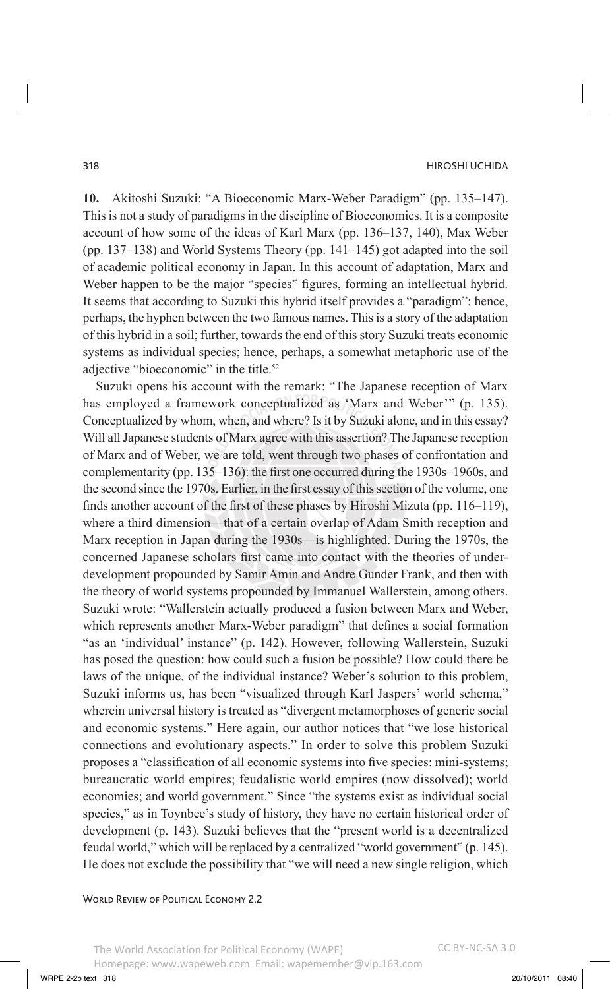**10.** Akitoshi Suzuki: "A Bioeconomic Marx-Weber Paradigm" (pp. 135–147). This is not a study of paradigms in the discipline of Bioeconomics. It is a composite account of how some of the ideas of Karl Marx (pp. 136–137, 140), Max Weber (pp. 137–138) and World Systems Theory (pp. 141–145) got adapted into the soil of academic political economy in Japan. In this account of adaptation, Marx and Weber happen to be the major "species" figures, forming an intellectual hybrid. It seems that according to Suzuki this hybrid itself provides a "paradigm"; hence, perhaps, the hyphen between the two famous names. This is a story of the adaptation of this hybrid in a soil; further, towards the end of this story Suzuki treats economic systems as individual species; hence, perhaps, a somewhat metaphoric use of the adjective "bioeconomic" in the title.<sup>52</sup>

Suzuki opens his account with the remark: "The Japanese reception of Marx has employed a framework conceptualized as 'Marx and Weber'" (p. 135). Conceptualized by whom, when, and where? Is it by Suzuki alone, and in this essay? Will all Japanese students of Marx agree with this assertion? The Japanese reception of Marx and of Weber, we are told, went through two phases of confrontation and complementarity (pp. 135–136): the first one occurred during the 1930s–1960s, and the second since the 1970s. Earlier, in the first essay of this section of the volume, one finds another account of the first of these phases by Hiroshi Mizuta (pp. 116–119), where a third dimension—that of a certain overlap of Adam Smith reception and Marx reception in Japan during the 1930s—is highlighted. During the 1970s, the concerned Japanese scholars first came into contact with the theories of underdevelopment propounded by Samir Amin and Andre Gunder Frank, and then with the theory of world systems propounded by Immanuel Wallerstein, among others. Suzuki wrote: "Wallerstein actually produced a fusion between Marx and Weber, which represents another Marx-Weber paradigm" that defines a social formation "as an 'individual' instance" (p. 142). However, following Wallerstein, Suzuki has posed the question: how could such a fusion be possible? How could there be laws of the unique, of the individual instance? Weber's solution to this problem, Suzuki informs us, has been "visualized through Karl Jaspers' world schema," wherein universal history is treated as "divergent metamorphoses of generic social and economic systems." Here again, our author notices that "we lose historical connections and evolutionary aspects." In order to solve this problem Suzuki proposes a "classification of all economic systems into five species: mini-systems; bureaucratic world empires; feudalistic world empires (now dissolved); world economies; and world government." Since "the systems exist as individual social species," as in Toynbee's study of history, they have no certain historical order of development (p. 143). Suzuki believes that the "present world is a decentralized feudal world," which will be replaced by a centralized "world government" (p. 145). He does not exclude the possibility that "we will need a new single religion, which

WORLD REVIEW OF POLITICAL ECONOMY 2.2

The World Association for Political Economy (WAPE) Homepage: www.wapeweb.com Email: wapemember@vip.163.com CC BY-NC-SA 3.0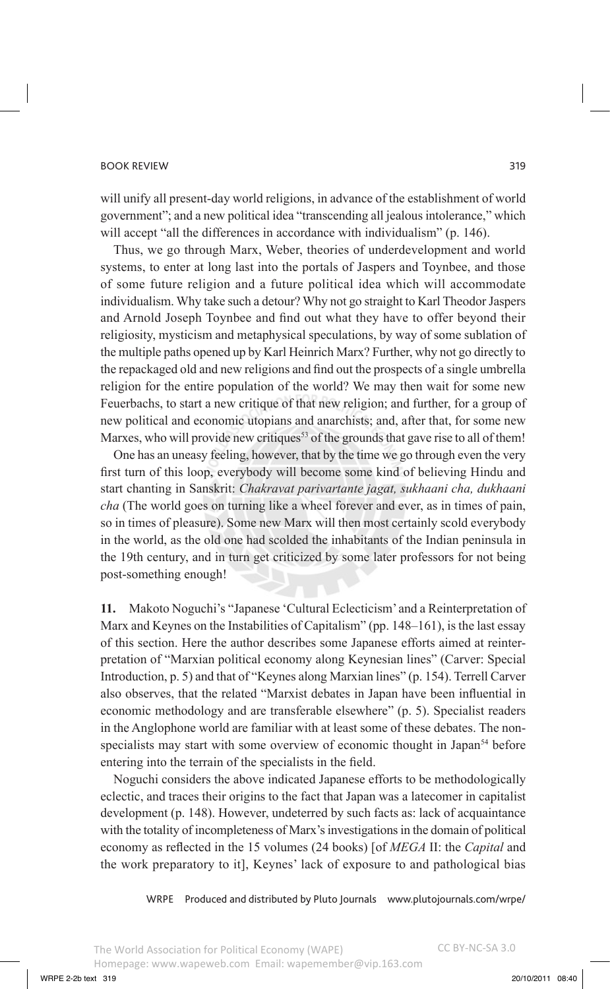will unify all present-day world religions, in advance of the establishment of world government"; and a new political idea "transcending all jealous intolerance," which will accept "all the differences in accordance with individualism" (p. 146).

Thus, we go through Marx, Weber, theories of underdevelopment and world systems, to enter at long last into the portals of Jaspers and Toynbee, and those of some future religion and a future political idea which will accommodate individualism. Why take such a detour? Why not go straight to Karl Theodor Jaspers and Arnold Joseph Toynbee and find out what they have to offer beyond their religiosity, mysticism and metaphysical speculations, by way of some sublation of the multiple paths opened up by Karl Heinrich Marx? Further, why not go directly to the repackaged old and new religions and find out the prospects of a single umbrella religion for the entire population of the world? We may then wait for some new Feuerbachs, to start a new critique of that new religion; and further, for a group of new political and economic utopians and anarchists; and, after that, for some new Marxes, who will provide new critiques<sup>53</sup> of the grounds that gave rise to all of them!

One has an uneasy feeling, however, that by the time we go through even the very first turn of this loop, everybody will become some kind of believing Hindu and start chanting in Sanskrit: *Chakravat parivartante jagat, sukhaani cha, dukhaani cha* (The world goes on turning like a wheel forever and ever, as in times of pain, so in times of pleasure). Some new Marx will then most certainly scold everybody in the world, as the old one had scolded the inhabitants of the Indian peninsula in the 19th century, and in turn get criticized by some later professors for not being post-something enough!

**11.** Makoto Noguchi's "Japanese 'Cultural Eclecticism' and a Reinterpretation of Marx and Keynes on the Instabilities of Capitalism" (pp. 148–161), is the last essay of this section. Here the author describes some Japanese efforts aimed at reinterpretation of "Marxian political economy along Keynesian lines" (Carver: Special Introduction, p. 5) and that of "Keynes along Marxian lines" (p. 154). Terrell Carver also observes, that the related "Marxist debates in Japan have been influential in economic methodology and are transferable elsewhere" (p. 5). Specialist readers in the Anglophone world are familiar with at least some of these debates. The nonspecialists may start with some overview of economic thought in Japan<sup>54</sup> before entering into the terrain of the specialists in the field.

Noguchi considers the above indicated Japanese efforts to be methodologically eclectic, and traces their origins to the fact that Japan was a latecomer in capitalist development (p. 148). However, undeterred by such facts as: lack of acquaintance with the totality of incompleteness of Marx's investigations in the domain of political economy as reflected in the 15 volumes (24 books) [of *MEGA* II: the *Capital* and the work preparatory to it], Keynes' lack of exposure to and pathological bias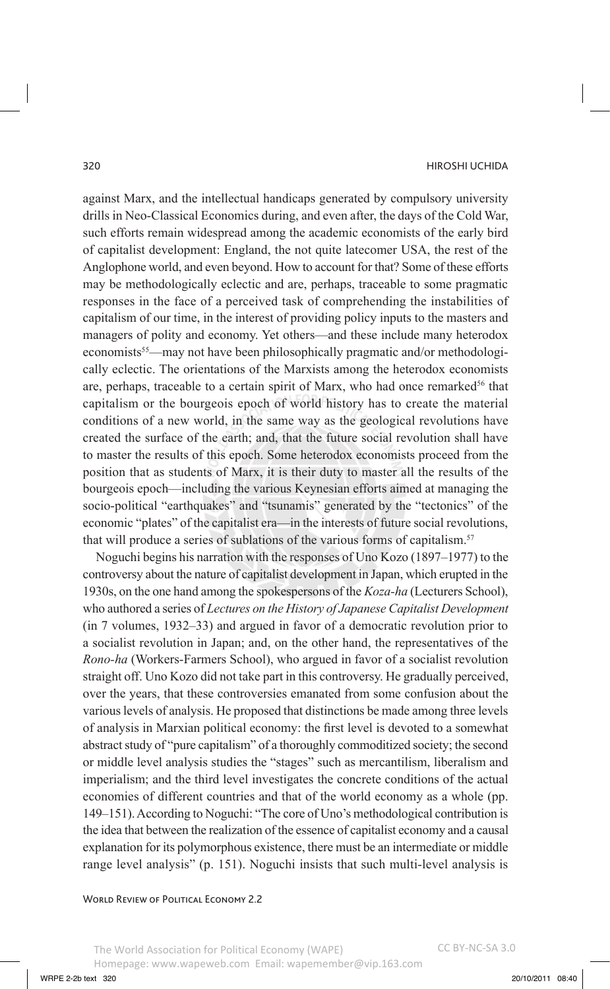against Marx, and the intellectual handicaps generated by compulsory university drills in Neo-Classical Economics during, and even after, the days of the Cold War, such efforts remain widespread among the academic economists of the early bird of capitalist development: England, the not quite latecomer USA, the rest of the Anglophone world, and even beyond. How to account for that? Some of these efforts may be methodologically eclectic and are, perhaps, traceable to some pragmatic responses in the face of a perceived task of comprehending the instabilities of capitalism of our time, in the interest of providing policy inputs to the masters and managers of polity and economy. Yet others—and these include many heterodox economists<sup>55</sup>—may not have been philosophically pragmatic and/or methodologically eclectic. The orientations of the Marxists among the heterodox economists are, perhaps, traceable to a certain spirit of Marx, who had once remarked<sup>56</sup> that capitalism or the bourgeois epoch of world history has to create the material conditions of a new world, in the same way as the geological revolutions have created the surface of the earth; and, that the future social revolution shall have to master the results of this epoch. Some heterodox economists proceed from the position that as students of Marx, it is their duty to master all the results of the bourgeois epoch—including the various Keynesian efforts aimed at managing the socio-political "earthquakes" and "tsunamis" generated by the "tectonics" of the economic "plates" of the capitalist era—in the interests of future social revolutions, that will produce a series of sublations of the various forms of capitalism.<sup>57</sup>

Noguchi begins his narration with the responses of Uno Kozo (1897–1977) to the controversy about the nature of capitalist development in Japan, which erupted in the 1930s, on the one hand among the spokespersons of the *Koza-ha* (Lecturers School), who authored a series of *Lectures on the History of Japanese Capitalist Development*  (in 7 volumes, 1932–33) and argued in favor of a democratic revolution prior to a socialist revolution in Japan; and, on the other hand, the representatives of the *Rono-ha* (Workers-Farmers School), who argued in favor of a socialist revolution straight off. Uno Kozo did not take part in this controversy. He gradually perceived, over the years, that these controversies emanated from some confusion about the various levels of analysis. He proposed that distinctions be made among three levels of analysis in Marxian political economy: the first level is devoted to a somewhat abstract study of "pure capitalism" of a thoroughly commoditized society; the second or middle level analysis studies the "stages" such as mercantilism, liberalism and imperialism; and the third level investigates the concrete conditions of the actual economies of different countries and that of the world economy as a whole (pp. 149–151). According to Noguchi: "The core of Uno's methodological contribution is the idea that between the realization of the essence of capitalist economy and a causal explanation for its polymorphous existence, there must be an intermediate or middle range level analysis" (p. 151). Noguchi insists that such multi-level analysis is

WORLD REVIEW OF POLITICAL ECONOMY 2.2

The World Association for Political Economy (WAPE) Homepage: www.wapeweb.com Email: wapemember@vip.163.com CC BY-NC-SA 3.0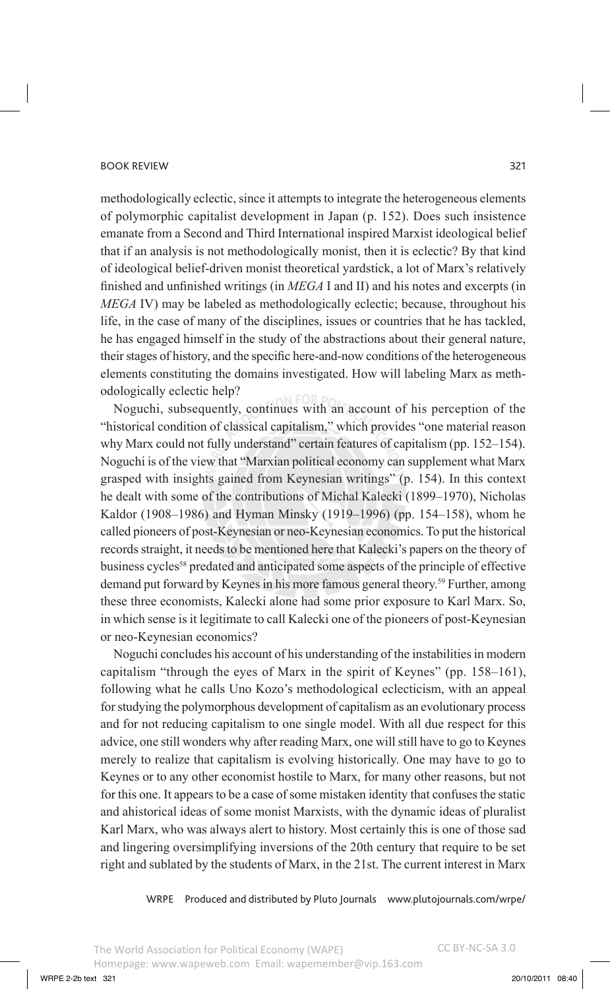methodologically eclectic, since it attempts to integrate the heterogeneous elements of polymorphic capitalist development in Japan (p. 152). Does such insistence emanate from a Second and Third International inspired Marxist ideological belief that if an analysis is not methodologically monist, then it is eclectic? By that kind of ideological belief-driven monist theoretical yardstick, a lot of Marx's relatively finished and unfinished writings (in *MEGA* I and II) and his notes and excerpts (in *MEGA* IV) may be labeled as methodologically eclectic; because, throughout his life, in the case of many of the disciplines, issues or countries that he has tackled, he has engaged himself in the study of the abstractions about their general nature, their stages of history, and the specific here-and-now conditions of the heterogeneous elements constituting the domains investigated. How will labeling Marx as methodologically eclectic help?

Noguchi, subsequently, continues with an account of his perception of the "historical condition of classical capitalism," which provides "one material reason why Marx could not fully understand" certain features of capitalism (pp. 152–154). Noguchi is of the view that "Marxian political economy can supplement what Marx grasped with insights gained from Keynesian writings" (p. 154). In this context he dealt with some of the contributions of Michal Kalecki (1899–1970), Nicholas Kaldor (1908–1986) and Hyman Minsky (1919–1996) (pp. 154–158), whom he called pioneers of post-Keynesian or neo-Keynesian economics. To put the historical records straight, it needs to be mentioned here that Kalecki's papers on the theory of business cycles<sup>58</sup> predated and anticipated some aspects of the principle of effective demand put forward by Keynes in his more famous general theory.59 Further, among these three economists, Kalecki alone had some prior exposure to Karl Marx. So, in which sense is it legitimate to call Kalecki one of the pioneers of post-Keynesian or neo-Keynesian economics?

Noguchi concludes his account of his understanding of the instabilities in modern capitalism "through the eyes of Marx in the spirit of Keynes" (pp. 158–161), following what he calls Uno Kozo's methodological eclecticism, with an appeal for studying the polymorphous development of capitalism as an evolutionary process and for not reducing capitalism to one single model. With all due respect for this advice, one still wonders why after reading Marx, one will still have to go to Keynes merely to realize that capitalism is evolving historically. One may have to go to Keynes or to any other economist hostile to Marx, for many other reasons, but not for this one. It appears to be a case of some mistaken identity that confuses the static and ahistorical ideas of some monist Marxists, with the dynamic ideas of pluralist Karl Marx, who was always alert to history. Most certainly this is one of those sad and lingering oversimplifying inversions of the 20th century that require to be set right and sublated by the students of Marx, in the 21st. The current interest in Marx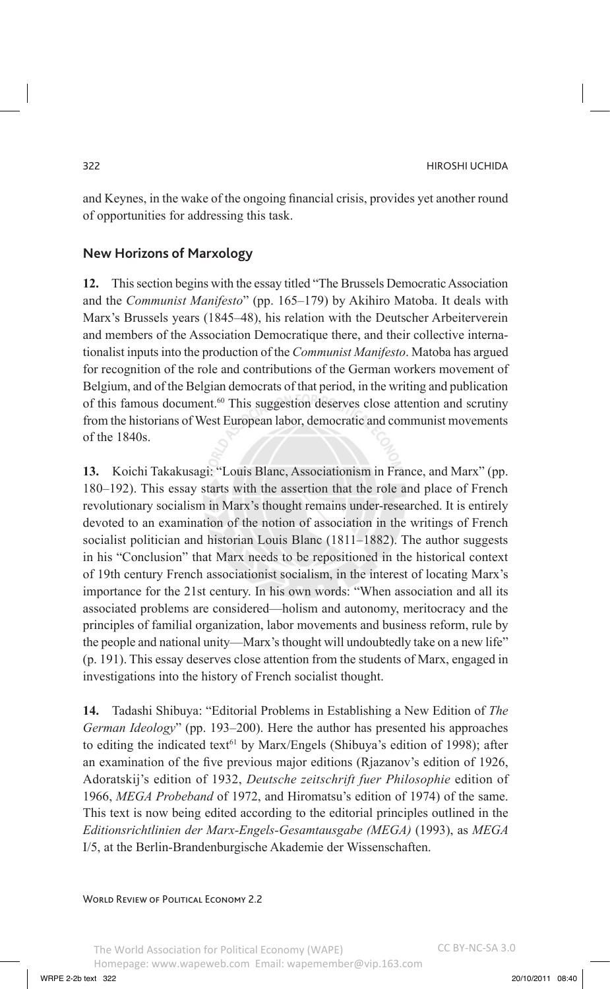and Keynes, in the wake of the ongoing financial crisis, provides yet another round of opportunities for addressing this task.

# **New Horizons of Marxology**

**12.** This section begins with the essay titled "The Brussels Democratic Association and the *Communist Manifesto*" (pp. 165–179) by Akihiro Matoba. It deals with Marx's Brussels years (1845–48), his relation with the Deutscher Arbeiterverein and members of the Association Democratique there, and their collective internationalist inputs into the production of the *Communist Manifesto*. Matoba has argued for recognition of the role and contributions of the German workers movement of Belgium, and of the Belgian democrats of that period, in the writing and publication of this famous document.<sup>60</sup> This suggestion deserves close attention and scrutiny from the historians of West European labor, democratic and communist movements of the 1840s.

**13.** Koichi Takakusagi: "Louis Blanc, Associationism in France, and Marx" (pp. 180–192). This essay starts with the assertion that the role and place of French revolutionary socialism in Marx's thought remains under-researched. It is entirely devoted to an examination of the notion of association in the writings of French socialist politician and historian Louis Blanc (1811–1882). The author suggests in his "Conclusion" that Marx needs to be repositioned in the historical context of 19th century French associationist socialism, in the interest of locating Marx's importance for the 21st century. In his own words: "When association and all its associated problems are considered—holism and autonomy, meritocracy and the principles of familial organization, labor movements and business reform, rule by the people and national unity—Marx's thought will undoubtedly take on a new life" (p. 191). This essay deserves close attention from the students of Marx, engaged in investigations into the history of French socialist thought.

**14.** Tadashi Shibuya: "Editorial Problems in Establishing a New Edition of *The German Ideology*" (pp. 193–200). Here the author has presented his approaches to editing the indicated text<sup>61</sup> by Marx/Engels (Shibuya's edition of 1998); after an examination of the five previous major editions (Rjazanov's edition of 1926, Adoratskij's edition of 1932, *Deutsche zeitschrift fuer Philosophie* edition of 1966, *MEGA Probeband* of 1972, and Hiromatsu's edition of 1974) of the same. This text is now being edited according to the editorial principles outlined in the *Editionsrichtlinien der Marx-Engels-Gesamtausgabe (MEGA)* (1993), as *MEGA*  I/5, at the Berlin-Brandenburgische Akademie der Wissenschaften.

WORLD REVIEW OF POLITICAL ECONOMY 2.2

The World Association for Political Economy (WAPE) Homepage: www.wapeweb.com Email: wapemember@vip.163.com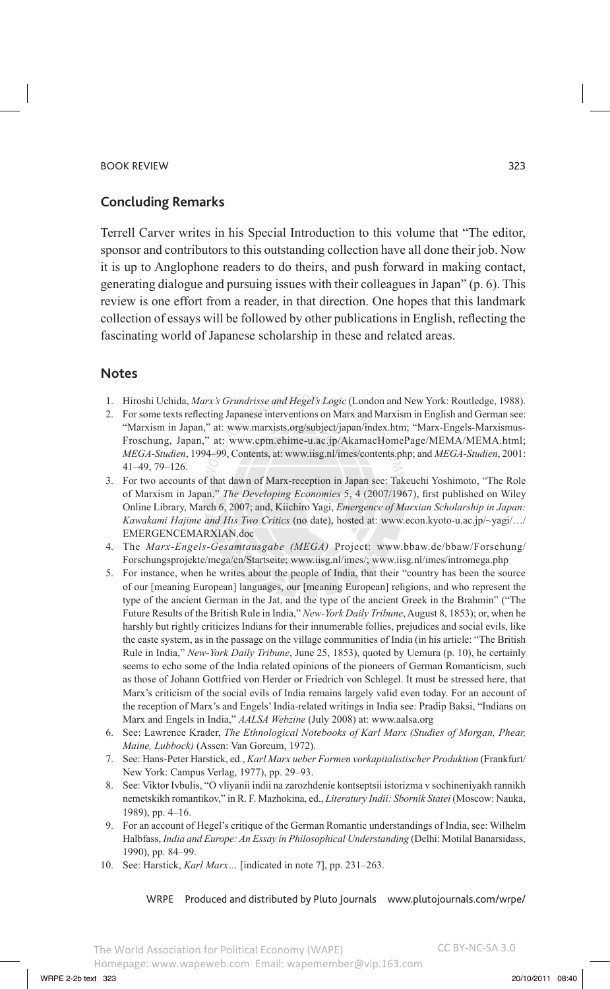# **Concluding Remarks**

Terrell Carver writes in his Special Introduction to this volume that "The editor, sponsor and contributors to this outstanding collection have all done their job. Now it is up to Anglophone readers to do theirs, and push forward in making contact, generating dialogue and pursuing issues with their colleagues in Japan" (p. 6). This review is one effort from a reader, in that direction. One hopes that this landmark collection of essays will be followed by other publications in English, reflecting the fascinating world of Japanese scholarship in these and related areas.

# **Notes**

- 1. Hiroshi Uchida, *Marx's Grundrisse and Hegel's Logic* (London and New York: Routledge, 1988).
- 2. For some texts reflecting Japanese interventions on Marx and Marxism in English and German see: "Marxism in Japan," at: www.marxists.org/subject/japan/index.htm; "Marx-Engels-Marxismus-Froschung, Japan," at: www.cpm.ehime-u.ac.jp/AkamacHomePage/MEMA/MEMA.html; *MEGA-Studien*, 1994–99, Contents, at: www.iisg.nl/imes/contents.php; and *MEGA-Studien*, 2001: 41–49, 79–126.
- 3. For two accounts of that dawn of Marx-reception in Japan see: Takeuchi Yoshimoto, "The Role of Marxism in Japan," *The Developing Economies* 5, 4 (2007/1967), first published on Wiley Online Library, March 6, 2007; and, Kiichiro Yagi, *Emergence of Marxian Scholarship in Japan: Kawakami Hajime and His Two Critics* (no date), hosted at: www.econ.kyoto-u.ac.jp/~yagi/…/ EMERGENCEMARXIAN.doc
- 4. The *Marx-Engels-Gesamtausgabe (MEGA)* Project: www.bbaw.de/bbaw/Forschung/ Forschungsprojekte/mega/en/Startseite; www.iisg.nl/imes/; www.iisg.nl/imes/intromega.php
- 5. For instance, when he writes about the people of India, that their "country has been the source of our [meaning European] languages, our [meaning European] religions, and who represent the type of the ancient German in the Jat, and the type of the ancient Greek in the Brahmin" ("The Future Results of the British Rule in India," *New-York Daily Tribune*, August 8, 1853); or, when he harshly but rightly criticizes Indians for their innumerable follies, prejudices and social evils, like the caste system, as in the passage on the village communities of India (in his article: "The British Rule in India," *New-York Daily Tribune*, June 25, 1853), quoted by Uemura (p. 10), he certainly seems to echo some of the India related opinions of the pioneers of German Romanticism, such as those of Johann Gottfried von Herder or Friedrich von Schlegel. It must be stressed here, that Marx's criticism of the social evils of India remains largely valid even today. For an account of the reception of Marx's and Engels' India-related writings in India see: Pradip Baksi, "Indians on Marx and Engels in India," *AALSA Webzine* (July 2008) at: www.aalsa.org
- 6. See: Lawrence Krader, *The Ethnological Notebooks of Karl Marx (Studies of Morgan, Phear, Maine, Lubbock)* (Assen: Van Gorcum, 1972).
- 7. See: Hans-Peter Harstick, ed., *Karl Marx ueber Formen vorkapitalistischer Produktion* (Frankfurt/ New York: Campus Verlag, 1977), pp. 29–93.
- 8. See: Viktor Ivbulis, "O vliyanii indii na zarozhdenie kontseptsii istorizma v sochineniyakh rannikh nemetskikh romantikov," in R. F. Mazhokina, ed., *Literatury Indii: Sbornik Statei* (Moscow: Nauka, 1989), pp. 4–16.
- 9. For an account of Hegel's critique of the German Romantic understandings of India, see: Wilhelm Halbfass, *India and Europe: An Essay in Philosophical Understanding* (Delhi: Motilal Banarsidass, 1990), pp. 84–99.
- 10. See: Harstick, *Karl Marx…* [indicated in note 7], pp. 231–263.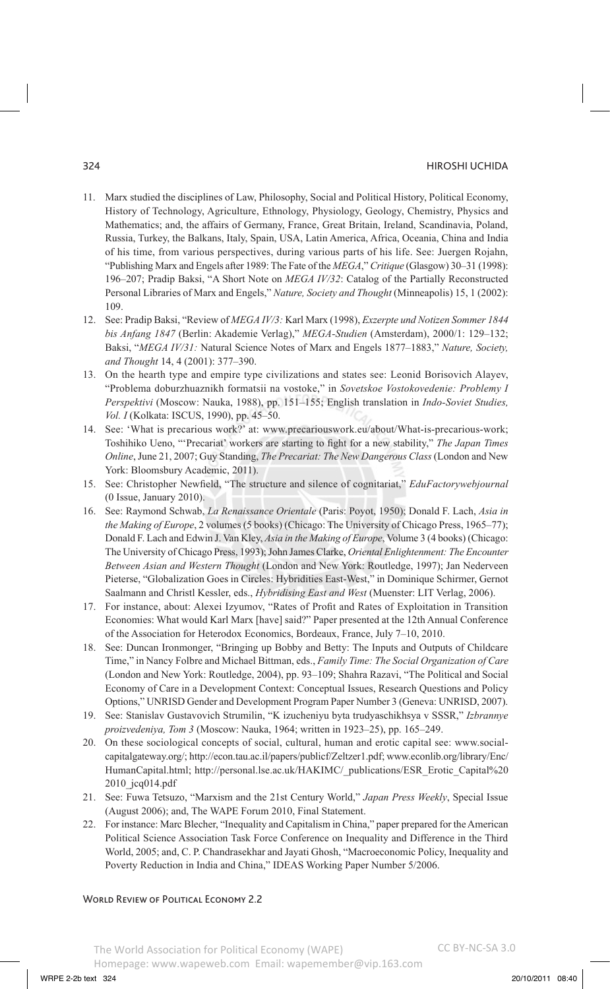#### 324 Hiroshi Uchida

- 11. Marx studied the disciplines of Law, Philosophy, Social and Political History, Political Economy, History of Technology, Agriculture, Ethnology, Physiology, Geology, Chemistry, Physics and Mathematics; and, the affairs of Germany, France, Great Britain, Ireland, Scandinavia, Poland, Russia, Turkey, the Balkans, Italy, Spain, USA, Latin America, Africa, Oceania, China and India of his time, from various perspectives, during various parts of his life. See: Juergen Rojahn, "Publishing Marx and Engels after 1989: The Fate of the *MEGA*," *Critique* (Glasgow) 30–31 (1998): 196–207; Pradip Baksi, "A Short Note on *MEGA IV/32*: Catalog of the Partially Reconstructed Personal Libraries of Marx and Engels," *Nature, Society and Thought* (Minneapolis) 15, 1 (2002): 109.
- 12. See: Pradip Baksi, "Review of *MEGA IV/3:* Karl Marx (1998), *Exzerpte und Notizen Sommer 1844 bis Anfang 1847* (Berlin: Akademie Verlag)," *MEGA-Studien* (Amsterdam), 2000/1: 129–132; Baksi, "*MEGA IV/31:* Natural Science Notes of Marx and Engels 1877–1883," *Nature, Society, and Thought* 14, 4 (2001): 377–390.
- 13. On the hearth type and empire type civilizations and states see: Leonid Borisovich Alayev, "Problema doburzhuaznikh formatsii na vostoke," in *Sovetskoe Vostokovedenie: Problemy I Perspektivi* (Moscow: Nauka, 1988), pp. 151–155; English translation in *Indo-Soviet Studies, Vol. I* (Kolkata: ISCUS, 1990), pp. 45–50.
- 14. See: 'What is precarious work?' at: www.precariouswork.eu/about/What-is-precarious-work; Toshihiko Ueno, "'Precariat' workers are starting to fight for a new stability," *The Japan Times Online*, June 21, 2007; Guy Standing, *The Precariat: The New Dangerous Class* (London and New York: Bloomsbury Academic, 2011).
- 15. See: Christopher Newfield, "The structure and silence of cognitariat," *EduFactorywebjournal*  (0 Issue, January 2010).
- 16. See: Raymond Schwab, *La Renaissance Orientale* (Paris: Poyot, 1950); Donald F. Lach, *Asia in the Making of Europe*, 2 volumes (5 books) (Chicago: The University of Chicago Press, 1965–77); Donald F. Lach and Edwin J. Van Kley, *Asia in the Making of Europe*, Volume 3 (4 books) (Chicago: The University of Chicago Press, 1993); John James Clarke, *Oriental Enlightenment: The Encounter Between Asian and Western Thought* (London and New York: Routledge, 1997); Jan Nederveen Pieterse, "Globalization Goes in Circles: Hybridities East-West," in Dominique Schirmer, Gernot Saalmann and Christl Kessler, eds., *Hybridising East and West* (Muenster: LIT Verlag, 2006).
- 17. For instance, about: Alexei Izyumov, "Rates of Profit and Rates of Exploitation in Transition Economies: What would Karl Marx [have] said?" Paper presented at the 12th Annual Conference of the Association for Heterodox Economics, Bordeaux, France, July 7–10, 2010.
- 18. See: Duncan Ironmonger, "Bringing up Bobby and Betty: The Inputs and Outputs of Childcare Time," in Nancy Folbre and Michael Bittman, eds., *Family Time: The Social Organization of Care*  (London and New York: Routledge, 2004), pp. 93–109; Shahra Razavi, "The Political and Social Economy of Care in a Development Context: Conceptual Issues, Research Questions and Policy Options," UNRISD Gender and Development Program Paper Number 3 (Geneva: UNRISD, 2007).
- 19. See: Stanislav Gustavovich Strumilin, "K izucheniyu byta trudyaschikhsya v SSSR," *Izbrannye proizvedeniya, Tom 3* (Moscow: Nauka, 1964; written in 1923–25), pp. 165–249.
- 20. On these sociological concepts of social, cultural, human and erotic capital see: www.socialcapitalgateway.org/; http://econ.tau.ac.il/papers/publicf/Zeltzer1.pdf; www.econlib.org/library/Enc/ HumanCapital.html; http://personal.lse.ac.uk/HAKIMC/\_publications/ESR\_Erotic\_Capital%20 2010\_jcq014.pdf
- 21. See: Fuwa Tetsuzo, "Marxism and the 21st Century World," *Japan Press Weekly*, Special Issue (August 2006); and, The WAPE Forum 2010, Final Statement.
- 22. For instance: Marc Blecher, "Inequality and Capitalism in China," paper prepared for the American Political Science Association Task Force Conference on Inequality and Difference in the Third World, 2005; and, C. P. Chandrasekhar and Jayati Ghosh, "Macroeconomic Policy, Inequality and Poverty Reduction in India and China," IDEAS Working Paper Number 5/2006.

WORLD REVIEW OF POLITICAL ECONOMY 2.2

The World Association for Political Economy (WAPE)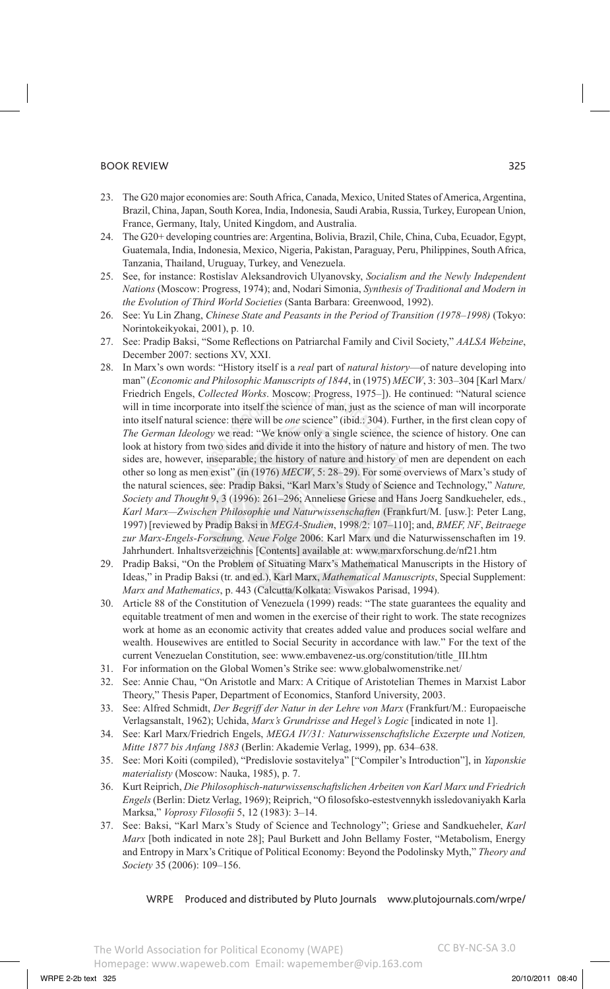- 23. The G20 major economies are: South Africa, Canada, Mexico, United States of America, Argentina, Brazil, China, Japan, South Korea, India, Indonesia, Saudi Arabia, Russia, Turkey, European Union, France, Germany, Italy, United Kingdom, and Australia.
- 24. The G20+ developing countries are: Argentina, Bolivia, Brazil, Chile, China, Cuba, Ecuador, Egypt, Guatemala, India, Indonesia, Mexico, Nigeria, Pakistan, Paraguay, Peru, Philippines, South Africa, Tanzania, Thailand, Uruguay, Turkey, and Venezuela.
- 25. See, for instance: Rostislav Aleksandrovich Ulyanovsky, *Socialism and the Newly Independent Nations* (Moscow: Progress, 1974); and, Nodari Simonia, *Synthesis of Traditional and Modern in the Evolution of Third World Societies* (Santa Barbara: Greenwood, 1992).
- 26. See: Yu Lin Zhang, *Chinese State and Peasants in the Period of Transition (1978–1998)* (Tokyo: Norintokeikyokai, 2001), p. 10.
- 27. See: Pradip Baksi, "Some Reflections on Patriarchal Family and Civil Society," *AALSA Webzine*, December 2007: sections XV, XXI.
- 28. In Marx's own words: "History itself is a *real* part of *natural history*—of nature developing into man" (*Economic and Philosophic Manuscripts of 1844*, in (1975) *MECW*, 3: 303–304 [Karl Marx/ Friedrich Engels, *Collected Works*. Moscow: Progress, 1975–]). He continued: "Natural science will in time incorporate into itself the science of man, just as the science of man will incorporate into itself natural science: there will be *one* science" (ibid.: 304). Further, in the first clean copy of *The German Ideology* we read: "We know only a single science, the science of history. One can look at history from two sides and divide it into the history of nature and history of men. The two sides are, however, inseparable; the history of nature and history of men are dependent on each other so long as men exist" (in (1976) *MECW*, 5: 28–29). For some overviews of Marx's study of the natural sciences, see: Pradip Baksi, "Karl Marx's Study of Science and Technology," *Nature, Society and Thought* 9, 3 (1996): 261–296; Anneliese Griese and Hans Joerg Sandkueheler, eds., *Karl Marx—Zwischen Philosophie und Naturwissenschaften* (Frankfurt/M. [usw.]: Peter Lang, 1997) [reviewed by Pradip Baksi in *MEGA-Studien*, 1998/2: 107–110]; and, *BMEF, NF*, *Beitraege zur Marx-Engels-Forschung, Neue Folge* 2006: Karl Marx und die Naturwissenschaften im 19. Jahrhundert. Inhaltsverzeichnis [Contents] available at: www.marxforschung.de/nf21.htm
- 29. Pradip Baksi, "On the Problem of Situating Marx's Mathematical Manuscripts in the History of Ideas," in Pradip Baksi (tr. and ed.), Karl Marx, *Mathematical Manuscripts*, Special Supplement: *Marx and Mathematics*, p. 443 (Calcutta/Kolkata: Viswakos Parisad, 1994).
- 30. Article 88 of the Constitution of Venezuela (1999) reads: "The state guarantees the equality and equitable treatment of men and women in the exercise of their right to work. The state recognizes work at home as an economic activity that creates added value and produces social welfare and wealth. Housewives are entitled to Social Security in accordance with law." For the text of the current Venezuelan Constitution, see: www.embavenez-us.org/constitution/title\_III.htm
- 31. For information on the Global Women's Strike see: www.globalwomenstrike.net/
- 32. See: Annie Chau, "On Aristotle and Marx: A Critique of Aristotelian Themes in Marxist Labor Theory," Thesis Paper, Department of Economics, Stanford University, 2003.
- 33. See: Alfred Schmidt, *Der Begriff der Natur in der Lehre von Marx* (Frankfurt/M.: Europaeische Verlagsanstalt, 1962); Uchida, *Marx's Grundrisse and Hegel's Logic* [indicated in note 1].
- 34. See: Karl Marx/Friedrich Engels, *MEGA IV/31: Naturwissenschaftsliche Exzerpte und Notizen, Mitte 1877 bis Anfang 1883* (Berlin: Akademie Verlag, 1999), pp. 634–638.
- 35. See: Mori Koiti (compiled), "Predislovie sostavitelya" ["Compiler's Introduction"], in *Yaponskie materialisty* (Moscow: Nauka, 1985), p. 7.
- 36. Kurt Reiprich, *Die Philosophisch-naturwissenschaftslichen Arbeiten von Karl Marx und Friedrich Engels* (Berlin: Dietz Verlag, 1969); Reiprich, "O filosofsko-estestvennykh issledovaniyakh Karla Marksa," *Voprosy Filosofii* 5, 12 (1983): 3–14.
- 37. See: Baksi, "Karl Marx's Study of Science and Technology"; Griese and Sandkueheler, *Karl Marx* [both indicated in note 28]; Paul Burkett and John Bellamy Foster, "Metabolism, Energy and Entropy in Marx's Critique of Political Economy: Beyond the Podolinsky Myth," *Theory and Society* 35 (2006): 109–156.

### WRPE Produced and distributed by Pluto Journals www.plutojournals.com/wrpe/

CC BY-NC-SA 3.0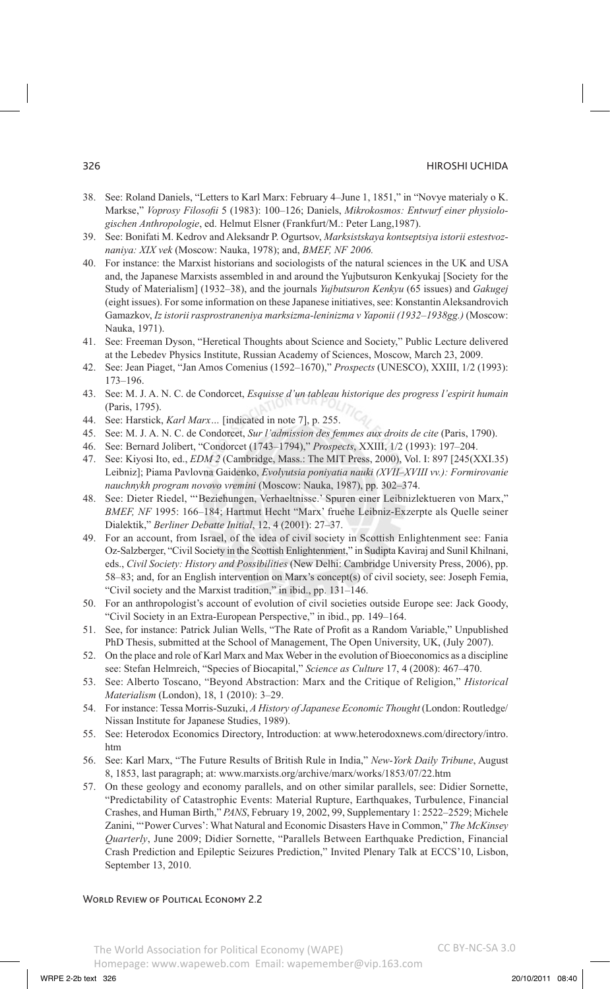- 38. See: Roland Daniels, "Letters to Karl Marx: February 4–June 1, 1851," in "Novye materialy o K. Markse," *Voprosy Filosofii* 5 (1983): 100–126; Daniels, *Mikrokosmos: Entwurf einer physiologischen Anthropologie*, ed. Helmut Elsner (Frankfurt/M.: Peter Lang,1987).
- 39. See: Bonifati M. Kedrov and Aleksandr P. Ogurtsov, *Marksistskaya kontseptsiya istorii estestvoznaniya: XIX vek* (Moscow: Nauka, 1978); and, *BMEF, NF 2006.*
- 40. For instance: the Marxist historians and sociologists of the natural sciences in the UK and USA and, the Japanese Marxists assembled in and around the Yujbutsuron Kenkyukaj [Society for the Study of Materialism] (1932–38), and the journals *Yujbutsuron Kenkyu* (65 issues) and *Gakugej* (eight issues). For some information on these Japanese initiatives, see: Konstantin Aleksandrovich Gamazkov, *Iz istorii rasprostraneniya marksizma-leninizma v Yaponii (1932–1938gg.)* (Moscow: Nauka, 1971).
- 41. See: Freeman Dyson, "Heretical Thoughts about Science and Society," Public Lecture delivered at the Lebedev Physics Institute, Russian Academy of Sciences, Moscow, March 23, 2009.
- 42. See: Jean Piaget, "Jan Amos Comenius (1592–1670)," *Prospects* (UNESCO), XXIII, 1/2 (1993): 173–196.
- 43. See: M. J. A. N. C. de Condorcet, *Esquisse d'un tableau historique des progress l'espirit humain* (Paris, 1795).
- 44. See: Harstick, *Karl Marx…* [indicated in note 7], p. 255.
- 45. See: M. J. A. N. C. de Condorcet, *Sur l'admission des femmes aux droits de cite* (Paris, 1790).
- 46. See: Bernard Jolibert, "Condorcet (1743–1794)," *Prospects*, XXIII, 1/2 (1993): 197–204.
- 47. See: Kiyosi Ito, ed., *EDM 2* (Cambridge, Mass.: The MIT Press, 2000), Vol. I: 897 [245(XXI.35) Leibniz]; Piama Pavlovna Gaidenko, *Evolyutsia poniyatia nauki (XVII–XVIII vv.): Formirovanie nauchnykh program novovo vremini* (Moscow: Nauka, 1987), pp. 302–374.
- 48. See: Dieter Riedel, "'Beziehungen, Verhaeltnisse.' Spuren einer Leibnizlektueren von Marx," *BMEF, NF* 1995: 166–184; Hartmut Hecht "Marx' fruehe Leibniz-Exzerpte als Quelle seiner Dialektik," *Berliner Debatte Initial*, 12, 4 (2001): 27–37.
- 49. For an account, from Israel, of the idea of civil society in Scottish Enlightenment see: Fania Oz-Salzberger, "Civil Society in the Scottish Enlightenment," in Sudipta Kaviraj and Sunil Khilnani, eds., *Civil Society: History and Possibilities* (New Delhi: Cambridge University Press, 2006), pp. 58–83; and, for an English intervention on Marx's concept(s) of civil society, see: Joseph Femia, "Civil society and the Marxist tradition," in ibid., pp. 131–146.
- 50. For an anthropologist's account of evolution of civil societies outside Europe see: Jack Goody, "Civil Society in an Extra-European Perspective," in ibid., pp. 149–164.
- 51. See, for instance: Patrick Julian Wells, "The Rate of Profit as a Random Variable," Unpublished PhD Thesis, submitted at the School of Management, The Open University, UK, (July 2007).
- 52. On the place and role of Karl Marx and Max Weber in the evolution of Bioeconomics as a discipline see: Stefan Helmreich, "Species of Biocapital," *Science as Culture* 17, 4 (2008): 467–470.
- 53. See: Alberto Toscano, "Beyond Abstraction: Marx and the Critique of Religion," *Historical Materialism* (London), 18, 1 (2010): 3–29.
- 54. For instance: Tessa Morris-Suzuki, *A History of Japanese Economic Thought* (London: Routledge/ Nissan Institute for Japanese Studies, 1989).
- 55. See: Heterodox Economics Directory, Introduction: at www.heterodoxnews.com/directory/intro. htm
- 56. See: Karl Marx, "The Future Results of British Rule in India," *New-York Daily Tribune*, August 8, 1853, last paragraph; at: www.marxists.org/archive/marx/works/1853/07/22.htm
- 57. On these geology and economy parallels, and on other similar parallels, see: Didier Sornette, "Predictability of Catastrophic Events: Material Rupture, Earthquakes, Turbulence, Financial Crashes, and Human Birth," *PANS*, February 19, 2002, 99, Supplementary 1: 2522–2529; Michele Zanini, "'Power Curves': What Natural and Economic Disasters Have in Common," *The McKinsey Quarterly*, June 2009; Didier Sornette, "Parallels Between Earthquake Prediction, Financial Crash Prediction and Epileptic Seizures Prediction," Invited Plenary Talk at ECCS'10, Lisbon, September 13, 2010.

#### WORLD REVIEW OF POLITICAL ECONOMY 2.2

#### The World Association for Political Economy (WAPE) Homepage: www.wapeweb.com Email: wapemember@vip.163.com CC BY-NC-SA 3.0